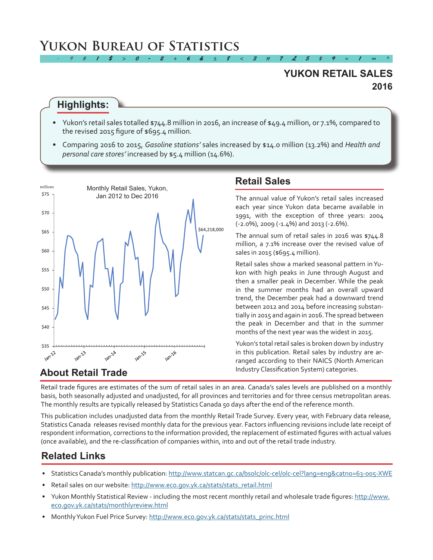# **Yukon Bureau of Statistics**

## **2016 YUKON RETAIL SALES**

### **Highlights:**

• Yukon's retail sales totalled \$744.8 million in 2016, an increase of \$49.4 million, or 7.1%, compared to the revised 2015 figure of \$695.4 million.

*2 ÷ 9 # 1 \$ > 0 - 2 + 6 & ± 8 < 3 π 7 £ 5 ‡ 9 ≈ 1 ∞ ^*

• Comparing 2016 to 2015, *Gasoline stations'* sales increased by \$14.0 million (13.2%) and *Health and personal care stores'* increased by \$5.4 million (14.6%).



## **Retail Sales**

The annual value of Yukon's retail sales increased each year since Yukon data became available in 1991, with the exception of three years: 2004 (-2.0%), 2009 (-1.4%) and 2013 (-2.6%).

The annual sum of retail sales in 2016 was \$744.8 million, a 7.1% increase over the revised value of sales in 2015 (\$695.4 million).

Retail sales show a marked seasonal pattern inYukon with high peaks in June through August and then a smaller peak in December. While the peak in the summer months had an overall upward trend, the December peak had a downward trend between 2012 and 2014 before increasing substantially in 2015 and again in 2016.The spread between the peak in December and that in the summer months of the next year was the widest in 2015.

Yukon's total retail sales is broken down by industry in this publication. Retail sales by industry are arranged according to their NAICS (North American Industry Classification System) categories.

### **About Retail Trade**

Retail trade figures are estimates of the sum of retail sales in an area. Canada's sales levels are published on a monthly basis, both seasonally adjusted and unadjusted, for all provinces and territories and for three census metropolitan areas. The monthly results are typically released by Statistics Canada 50 days after the end of the reference month.

This publication includes unadjusted data from the monthly Retail Trade Survey. Every year, with February data release, Statistics Canada releases revised monthly data for the previous year. Factors influencing revisions include late receipt of respondent information, corrections to the information provided, the replacement of estimated figures with actual values (once available), and the re-classification of companies within, into and out of the retail trade industry.

# **Related Links**

- Statistics Canada's monthly publication: <http://www.statcan.gc.ca/bsolc/olc-cel/olc-cel?lang=eng&catno=63-005-XWE>
- Retail sales on our website: http://www.eco.gov.yk.ca/stats/stats\_retail.html
- Yukon Monthly Statistical Review including the most recent monthly retail and wholesale trade figures: [http://www.](http://www.eco.gov.yk.ca/stats/monthlyreview.html) [eco.gov.yk.ca/stats/monthlyreview.html](http://www.eco.gov.yk.ca/stats/monthlyreview.html)
- Monthly Yukon Fuel Price Survey: [http://www.eco.gov.yk.ca/stats/stats\\_princ.html](http://www.eco.gov.yk.ca/stats/stats_princ.html)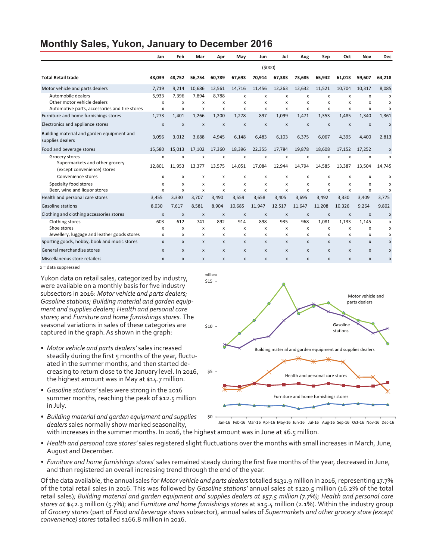### **Monthly Sales, Yukon, January to December 2016**

|                                                                                                    | Jan                      | Feb                            | Mar                       | Apr             | May                      | Jun                            | Jul                       | Aug                            | Sep                   | Oct                            | Nov             | Dec         |
|----------------------------------------------------------------------------------------------------|--------------------------|--------------------------------|---------------------------|-----------------|--------------------------|--------------------------------|---------------------------|--------------------------------|-----------------------|--------------------------------|-----------------|-------------|
|                                                                                                    | (5000)                   |                                |                           |                 |                          |                                |                           |                                |                       |                                |                 |             |
| <b>Total Retail trade</b>                                                                          | 48.039                   | 48.752                         | 56,754                    | 60,789          | 67,693                   | 70.914                         | 67,383                    | 73,685                         | 65,942                | 61,013                         | 59,607          | 64,218      |
| Motor vehicle and parts dealers                                                                    | 7,719                    | 9,214                          | 10,686                    | 12,561          | 14,716                   | 11,456                         | 12,263                    | 12,632                         | 11,521                | 10,704                         | 10,317          | 8,085       |
| Automobile dealers<br>Other motor vehicle dealers<br>Automotive parts, accessories and tire stores | 5,933<br>x<br>X          | 7.396<br>X<br>X                | 7.894<br>X<br>x           | 8.788<br>x<br>x | x<br>x<br>X              | x<br>X<br>x                    | x<br>X<br>X               | x<br>X<br>x                    | x<br>X<br>X           | X<br>X<br>X                    | x<br>x<br>x     | x<br>х<br>X |
| Furniture and home furnishings stores                                                              | 1,273                    | 1,401                          | 1,266                     | 1,200           | 1,278                    | 897                            | 1,099                     | 1,471                          | 1,353                 | 1,485                          | 1,340           | 1,361       |
| Electronics and appliance stores                                                                   | X                        | X                              | $\boldsymbol{\mathsf{x}}$ | X               | X                        | $\boldsymbol{\mathsf{x}}$      | X                         | $\mathsf{x}$                   | $\mathsf{x}$          | $\boldsymbol{\mathsf{x}}$      | X               | X           |
| Building material and garden equipment and<br>supplies dealers                                     | 3,056                    | 3,012                          | 3,688                     | 4,945           | 6,148                    | 6,483                          | 6,103                     | 6,375                          | 6,067                 | 4,395                          | 4,400           | 2,813       |
| Food and beverage stores                                                                           | 15,580                   | 15,013                         | 17,102                    | 17,360          | 18,396                   | 22,355                         | 17,784                    | 19,878                         | 18,608                | 17,152                         | 17,252          | X           |
| Grocery stores<br>Supermarkets and other grocery<br>(except convenience) stores                    | x<br>12,801              | X<br>11.953                    | X<br>13,377               | X<br>13,575     | x<br>14,051              | X<br>17,084                    | X<br>12,944               | X<br>14,794                    | X<br>14,585           | X<br>13,387                    | x<br>13,504     | X<br>14.745 |
| Convenience stores                                                                                 | x                        | X                              | X                         | x               | x                        | X                              | X                         | X                              | X                     | X                              | x               | х           |
| Specialty food stores<br>Beer, wine and liquor stores                                              | x<br>$\mathsf{x}$        | X<br>$\boldsymbol{\mathsf{x}}$ | X<br>$\boldsymbol{x}$     | x<br>x          | x<br>x                   | x<br>$\boldsymbol{\mathsf{x}}$ | X<br>X                    | X<br>$\boldsymbol{\mathsf{x}}$ | X<br>$\boldsymbol{x}$ | x<br>$\boldsymbol{\mathsf{x}}$ | x<br>x          | х<br>X      |
| Health and personal care stores<br><b>Gasoline stations</b>                                        | 3,455                    | 3,330<br>7.617                 | 3,707<br>8.581            | 3,490<br>8.904  | 3,559                    | 3,658                          | 3,405                     | 3,695                          | 3,492                 | 3,330                          | 3,409           | 3,775       |
| Clothing and clothing accessories stores                                                           | 8,030<br>X               | $\pmb{\chi}$                   | $\pmb{\times}$            | X               | 10,685<br>$\pmb{\times}$ | 11,947<br>$\pmb{\times}$       | 12,517<br>X               | 11,647<br>X                    | 11,208<br>X           | 10,326<br>X                    | 9,264<br>X      | 9,802<br>X  |
| Clothing stores<br>Shoe stores<br>Jewellery, luggage and leather goods stores                      | 603<br>X<br>$\mathsf{x}$ | 612<br>X<br>X                  | 741<br>X<br>x             | 892<br>x<br>x   | 914<br>x<br>x            | 898<br>X<br>x                  | 935<br>X<br>X             | 968<br>X<br>X                  | 1.081<br>X<br>x       | 1.133<br>X<br>x                | 1,145<br>x<br>x | x<br>x<br>x |
| Sporting goods, hobby, book and music stores                                                       | X                        | X                              | $\boldsymbol{\mathsf{x}}$ | X               | $\mathsf{x}$             | $\mathsf{x}$                   | $\boldsymbol{\mathsf{x}}$ | $\mathsf{x}$                   | $\mathbf{x}$          | $\mathsf{x}$                   | X               | X           |
| General merchandise stores                                                                         | X                        | $\pmb{\mathsf{x}}$             | $\mathsf{x}$              | X               | $\mathsf{x}$             | $\mathsf{x}$                   | $\pmb{\times}$            | $\mathsf{x}$                   | $\mathsf{x}$          | $\mathsf{x}$                   | X               | X           |
| Miscellaneous store retailers                                                                      | X                        | X                              | $\boldsymbol{\mathsf{x}}$ | X               | X                        | $\mathsf{x}$                   | X                         | $\mathsf{x}$                   | X                     | $\mathsf{x}$                   | X               | X           |

millions

x = data suppressed

Yukon data on retail sales, categorized by industry, were available on a monthly basis for five industry subsectors in 2016: *Motor vehicle and parts dealers; Gasoline stations; Building material and garden equipment and supplies dealers; Health and personal care stores;* and *Furniture and home furnishings stores.* The seasonal variations in sales of these categories are captured in the graph. As shown in the graph:

- *• Motor vehicle and parts dealers'* sales increased steadily during the first 5 months of the year, fluctuated in the summer months, and then started decreasing to return close to the January level. In 2016, the highest amount was in May at \$14.7 million.
- *• Gasoline stations'* sales were strong in the 2016 summer months, reaching the peak of \$12.5 million in July.
- *• Building material and garden equipment and supplies dealers* sales normally show marked seasonality, with increases in the summer months. In 2016, the highest amount was in June at \$6.5 million.



Jan-16 Feb-16 Mar-16 Apr-16 May-16 Jun-16 Jul-16 Aug-16 Sep-16 Oct-16 Nov-16 Dec-16

- *• Health and personal care stores'* sales registered slight fluctuations over the months with small increases in March,June, August and December.
- *• Furniture and home furnishings stores*' sales remained steady during the first five months of the year, decreased in June, and then registered an overall increasing trend through the end of the year.

Of the data available, the annual sales for *Motor vehicle and parts dealers* totalled \$131.9 million in 2016, representing 17.7% of the total retail sales in 2016. This was followed by *Gasoline stations'* annual sales at \$120.5 million (16.2% of the total retail sales)*; Building material and garden equipment and supplies dealers at \$57.5 million (7.7%); Health and personal care stores at* \$42.3 million (5.7%); and *Furniture and home furnishings stores* at \$15.4 million (2.1%). Within the industry group of *Grocery stores* (part of *Food and beverage stores* subsector), annual sales of *Supermarkets and other grocery store (except convenience) stores* totalled \$166.8 million in 2016.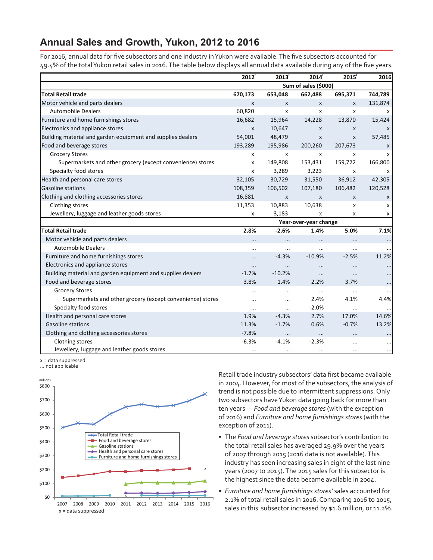### **Annual Sales and Growth, Yukon, 2012 to 2016**

For 2016, annual data for five subsectors and one industry inYukon were available.The five subsectors accounted for 49.4% of the totalYukon retail sales in 2016.The table below displays all annual data available during any of the five years.

|                                                             | $2012$ <sup>r</sup> | 2013'     | 2014 <sup>r</sup>     | 2015 <sup>r</sup> | 2016      |
|-------------------------------------------------------------|---------------------|-----------|-----------------------|-------------------|-----------|
|                                                             |                     |           | Sum of sales (\$000)  |                   |           |
| <b>Total Retail trade</b>                                   | 670,173             | 653,048   | 662,488               | 695,371           | 744,789   |
| Motor vehicle and parts dealers                             | X                   | X         | $\mathsf{x}$          | X                 | 131,874   |
| <b>Automobile Dealers</b>                                   | 60,820              | х         | X                     | x                 | x         |
| Furniture and home furnishings stores                       | 16,682              | 15,964    | 14,228                | 13,870            | 15,424    |
| Electronics and appliance stores                            | X                   | 10,647    | $\mathsf{x}$          | X                 | X         |
| Building material and garden equipment and supplies dealers | 54,001              | 48,479    | X                     | X                 | 57,485    |
| Food and beverage stores                                    | 193,289             | 195,986   | 200,260               | 207,673           | X         |
| <b>Grocery Stores</b>                                       | x                   | X         | X                     | x                 | x         |
| Supermarkets and other grocery (except convenience) stores  | X                   | 149,808   | 153,431               | 159,722           | 166,800   |
| Specialty food stores                                       | x                   | 3,289     | 3,223                 | x                 | x         |
| Health and personal care stores                             | 32,105              | 30,729    | 31,550                | 36,912            | 42,305    |
| <b>Gasoline stations</b>                                    | 108,359             | 106,502   | 107,180               | 106,482           | 120,528   |
| Clothing and clothing accessories stores                    | 16,881              | X         | X                     | X                 | X         |
| Clothing stores                                             | 11,353              | 10,883    | 10,638                | x                 | x         |
| Jewellery, luggage and leather goods stores                 | x                   | 3,183     | X                     | x                 | x         |
|                                                             |                     |           | Year-over-year change |                   |           |
| <b>Total Retail trade</b>                                   | 2.8%                | $-2.6%$   | 1.4%                  | 5.0%              | 7.1%      |
| Motor vehicle and parts dealers                             | $\cdots$            |           |                       | $\ldots$          | $\ldots$  |
| <b>Automobile Dealers</b>                                   | $\cdots$            |           | $\cdots$              | $\cdots$          |           |
| Furniture and home furnishings stores                       |                     | $-4.3%$   | $-10.9%$              | $-2.5%$           | 11.2%     |
| Electronics and appliance stores                            | $\cdots$            |           |                       |                   |           |
| Building material and garden equipment and supplies dealers | $-1.7%$             | $-10.2%$  |                       | $\cdots$          |           |
| Food and beverage stores                                    | 3.8%                | 1.4%      | 2.2%                  | 3.7%              |           |
| <b>Grocery Stores</b>                                       | $\cdots$            |           | $\cdots$              | $\cdots$          | $\cdots$  |
| Supermarkets and other grocery (except convenience) stores  | $\ddotsc$           | $\ddotsc$ | 2.4%                  | 4.1%              | 4.4%      |
| Specialty food stores                                       | $\cdots$            | $\cdots$  | $-2.0%$               | $\cdots$          | $\ddotsc$ |
| Health and personal care stores                             | 1.9%                | $-4.3%$   | 2.7%                  | 17.0%             | 14.6%     |
| Gasoline stations                                           | 11.3%               | $-1.7%$   | 0.6%                  | $-0.7%$           | 13.2%     |
| Clothing and clothing accessories stores                    | $-7.8%$             |           | $\cdots$              | $\cdots$          |           |
| Clothing stores                                             | $-6.3%$             | $-4.1%$   | $-2.3%$               | $\cdots$          |           |
| Jewellery, luggage and leather goods stores                 | $\cdots$            | $\cdots$  | $\cdots$              | $\cdots$          | $\cdots$  |

x = data suppressed





Retail trade industry subsectors' data first became available in 2004. However, for most of the subsectors, the analysis of trend is not possible due to intermittent suppressions. Only two subsectors have Yukon data going back for more than ten years — *Food and beverage stores* (with the exception of 2016) and *Furniture and home furnishings stores* (with the exception of 2011).

- • The *Food and beverage stores* subsector's contribution to the total retail sales has averaged 29.9% over the years of 2007 through 2015 (2016 data is not available).This industry has seen increasing sales in eight of the last nine years (2007 to 2015).The 2015 sales for this subsector is the highest since the data became available in 2004.
- *• Furniture and home furnishings stores'* sales accounted for 2.1% of total retail sales in 2016. Comparing 2016 to 2015, sales in this subsector increased by \$1.6 million, or 11.2%.